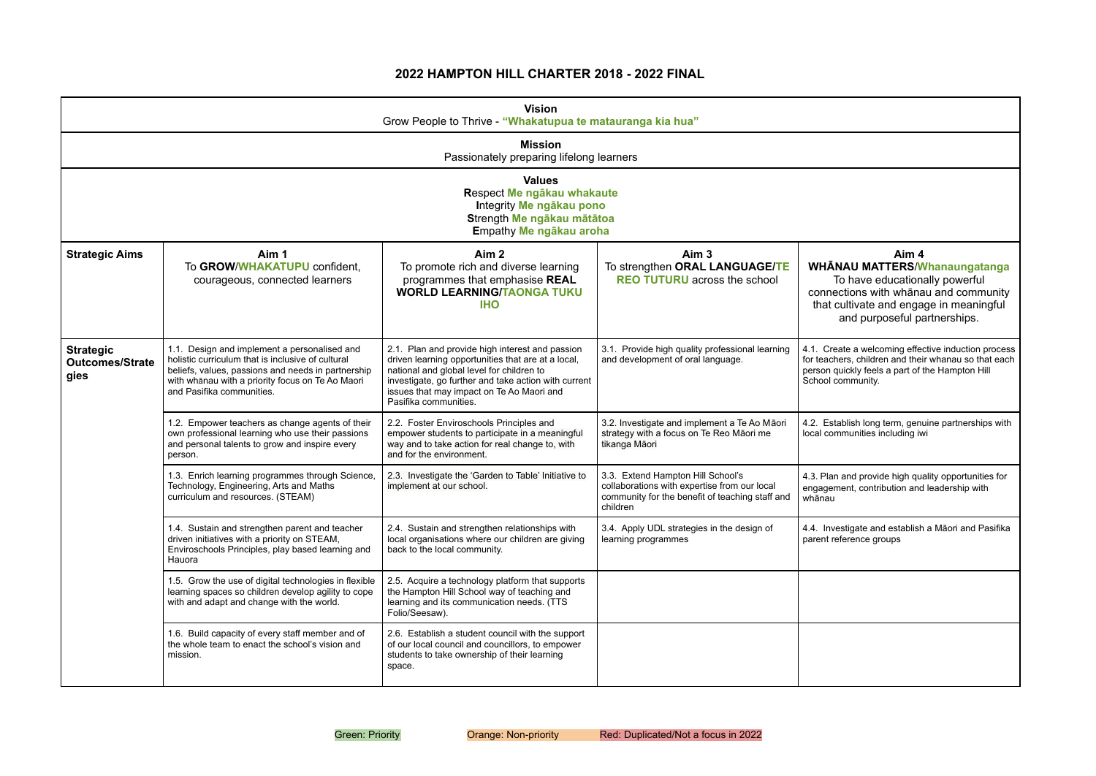# **2022 HAMPTON HILL CHARTER 2018 - 2022 FINAL**

# **Aim 4 WHĀNAU MATTERS**/**Whanaungatanga**

To have educationally powerful nections with whānau and community that cultivate and engage in meaningful and purposeful partnerships.

Ireate a welcoming effective induction process ichers, children and their whanau so that each quickly feels a part of the Hampton Hill community.

stablish long term, genuine partnerships with communities including iwi

lan and provide high quality opportunities for ement, contribution and leadership with u

nvestigate and establish a Māori and Pasifika t reference groups

|                                                    |                                                                                                                                                                                                                                          | <b>Vision</b><br>Grow People to Thrive - "Whakatupua te matauranga kia hua"                                                                                                                                                                                                      |                                                                                                                                                  |                                       |
|----------------------------------------------------|------------------------------------------------------------------------------------------------------------------------------------------------------------------------------------------------------------------------------------------|----------------------------------------------------------------------------------------------------------------------------------------------------------------------------------------------------------------------------------------------------------------------------------|--------------------------------------------------------------------------------------------------------------------------------------------------|---------------------------------------|
|                                                    |                                                                                                                                                                                                                                          | <b>Mission</b><br>Passionately preparing lifelong learners                                                                                                                                                                                                                       |                                                                                                                                                  |                                       |
|                                                    |                                                                                                                                                                                                                                          | <b>Values</b><br>Respect Me ngākau whakaute<br>Integrity Me ngākau pono<br>Strength Me ngākau mātātoa<br>Empathy Me ngākau aroha                                                                                                                                                 |                                                                                                                                                  |                                       |
| <b>Strategic Aims</b>                              | Aim 1<br>To GROW/WHAKATUPU confident,<br>courageous, connected learners                                                                                                                                                                  | Aim <sub>2</sub><br>To promote rich and diverse learning<br>programmes that emphasise REAL<br><b>WORLD LEARNING/TAONGA TUKU</b><br><b>IHO</b>                                                                                                                                    | Aim <sub>3</sub><br>To strengthen ORAL LANGUAGE/TE<br><b>REO TUTURU</b> across the school                                                        | <b>WH</b><br>conr<br>that             |
| <b>Strategic</b><br><b>Outcomes/Strate</b><br>gies | 1.1. Design and implement a personalised and<br>holistic curriculum that is inclusive of cultural<br>beliefs, values, passions and needs in partnership<br>with whanau with a priority focus on Te Ao Maori<br>and Pasifika communities. | 2.1. Plan and provide high interest and passion<br>driven learning opportunities that are at a local,<br>national and global level for children to<br>investigate, go further and take action with current<br>issues that may impact on Te Ao Maori and<br>Pasifika communities. | 3.1. Provide high quality professional learning<br>and development of oral language.                                                             | 4.1. C<br>for tea<br>person<br>School |
|                                                    | 1.2. Empower teachers as change agents of their<br>own professional learning who use their passions<br>and personal talents to grow and inspire every<br>person.                                                                         | 2.2. Foster Enviroschools Principles and<br>empower students to participate in a meaningful<br>way and to take action for real change to, with<br>and for the environment.                                                                                                       | 3.2. Investigate and implement a Te Ao Māori<br>strategy with a focus on Te Reo Māori me<br>tikanga Māori                                        | 4.2. E<br>local c                     |
|                                                    | 1.3. Enrich learning programmes through Science,<br>Technology, Engineering, Arts and Maths<br>curriculum and resources. (STEAM)                                                                                                         | 2.3. Investigate the 'Garden to Table' Initiative to<br>implement at our school.                                                                                                                                                                                                 | 3.3. Extend Hampton Hill School's<br>collaborations with expertise from our local<br>community for the benefit of teaching staff and<br>children | 4.3. Pla<br>engage<br>whāna           |
|                                                    | 1.4. Sustain and strengthen parent and teacher<br>driven initiatives with a priority on STEAM,<br>Enviroschools Principles, play based learning and<br>Hauora                                                                            | 2.4. Sustain and strengthen relationships with<br>local organisations where our children are giving<br>back to the local community.                                                                                                                                              | 3.4. Apply UDL strategies in the design of<br>learning programmes                                                                                | 4.4. In<br>parent                     |
|                                                    | 1.5. Grow the use of digital technologies in flexible<br>learning spaces so children develop agility to cope<br>with and adapt and change with the world.                                                                                | 2.5. Acquire a technology platform that supports<br>the Hampton Hill School way of teaching and<br>learning and its communication needs. (TTS<br>Folio/Seesaw).                                                                                                                  |                                                                                                                                                  |                                       |
|                                                    | 1.6. Build capacity of every staff member and of<br>the whole team to enact the school's vision and<br>mission.                                                                                                                          | 2.6. Establish a student council with the support<br>of our local council and councillors, to empower<br>students to take ownership of their learning<br>space.                                                                                                                  |                                                                                                                                                  |                                       |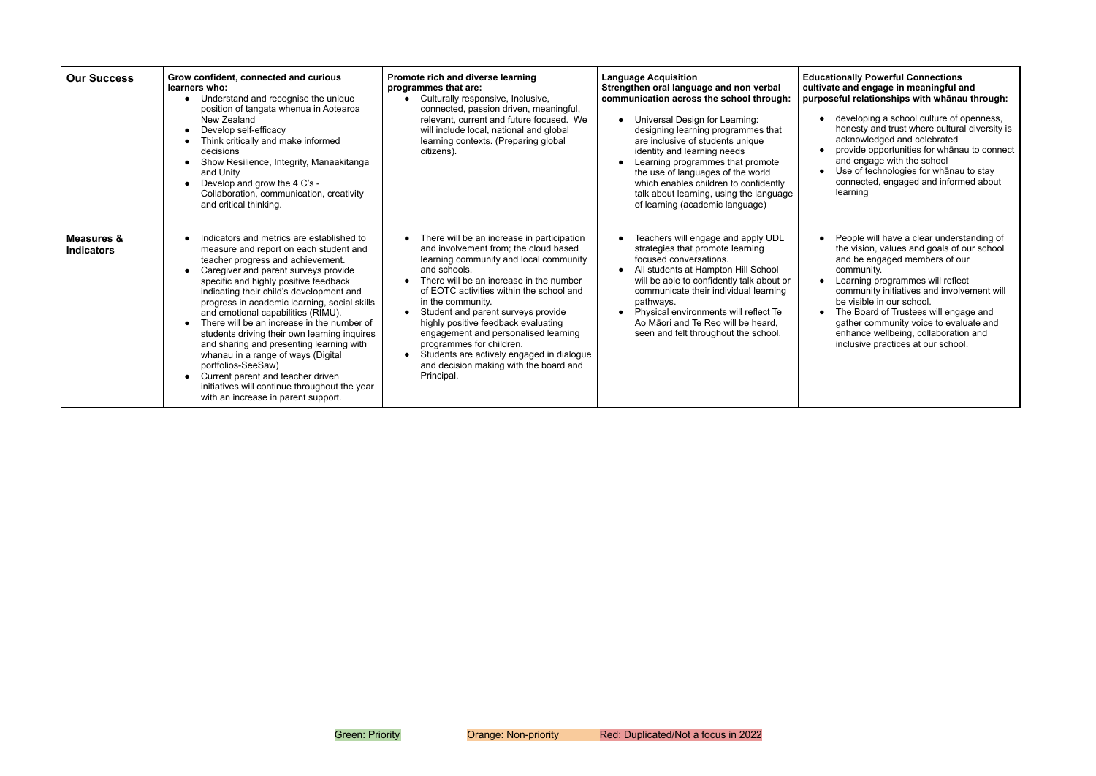#### **Educationally Powerful Connections cultivate and engage in meaningful and purposeful relationships with whānau through:**

| <b>Our Success</b>                         | Grow confident, connected and curious<br>learners who:<br>Understand and recognise the unique<br>$\bullet$<br>position of tangata whenua in Aotearoa<br>New Zealand<br>Develop self-efficacy<br>Think critically and make informed<br>decisions<br>Show Resilience, Integrity, Manaakitanga<br>and Unity<br>Develop and grow the 4 C's -<br>$\bullet$<br>Collaboration, communication, creativity<br>and critical thinking.                                                                                                                                                                                                                                                    | Promote rich and diverse learning<br>programmes that are:<br>Culturally responsive, Inclusive,<br>connected, passion driven, meaningful,<br>relevant, current and future focused. We<br>will include local, national and global<br>learning contexts. (Preparing global<br>citizens).                                                                                                                                                                                                                           | <b>Language Acquisition</b><br>Strengthen oral language and non verbal<br>communication across the school through:<br>Universal Design for Learning:<br>$\bullet$<br>designing learning programmes that<br>are inclusive of students unique<br>identity and learning needs<br>Learning programmes that promote<br>$\bullet$<br>the use of languages of the world<br>which enables children to confidently<br>talk about learning, using the language<br>of learning (academic language) | Educa<br>cultiva<br>purpo |
|--------------------------------------------|--------------------------------------------------------------------------------------------------------------------------------------------------------------------------------------------------------------------------------------------------------------------------------------------------------------------------------------------------------------------------------------------------------------------------------------------------------------------------------------------------------------------------------------------------------------------------------------------------------------------------------------------------------------------------------|-----------------------------------------------------------------------------------------------------------------------------------------------------------------------------------------------------------------------------------------------------------------------------------------------------------------------------------------------------------------------------------------------------------------------------------------------------------------------------------------------------------------|-----------------------------------------------------------------------------------------------------------------------------------------------------------------------------------------------------------------------------------------------------------------------------------------------------------------------------------------------------------------------------------------------------------------------------------------------------------------------------------------|---------------------------|
| <b>Measures &amp;</b><br><b>Indicators</b> | Indicators and metrics are established to<br>measure and report on each student and<br>teacher progress and achievement.<br>Caregiver and parent surveys provide<br>specific and highly positive feedback<br>indicating their child's development and<br>progress in academic learning, social skills<br>and emotional capabilities (RIMU).<br>There will be an increase in the number of<br>students driving their own learning inquires<br>and sharing and presenting learning with<br>whanau in a range of ways (Digital<br>portfolios-SeeSaw)<br>Current parent and teacher driven<br>initiatives will continue throughout the year<br>with an increase in parent support. | There will be an increase in participation<br>and involvement from; the cloud based<br>learning community and local community<br>and schools.<br>There will be an increase in the number<br>of EOTC activities within the school and<br>in the community.<br>Student and parent surveys provide<br>highly positive feedback evaluating<br>engagement and personalised learning<br>programmes for children.<br>Students are actively engaged in dialogue<br>and decision making with the board and<br>Principal. | Teachers will engage and apply UDL<br>$\bullet$<br>strategies that promote learning<br>focused conversations.<br>All students at Hampton Hill School<br>$\bullet$<br>will be able to confidently talk about or<br>communicate their individual learning<br>pathways.<br>Physical environments will reflect Te<br>$\bullet$<br>Ao Māori and Te Reo will be heard,<br>seen and felt throughout the school.                                                                                |                           |

- developing a school culture of openness, honesty and trust where cultural diversity is acknowledged and celebrated provide opportunities for whānau to connect and engage with the school Use of technologies for whānau to stay
- connected, engaged and informed about learning
- People will have a clear understanding of the vision, values and goals of our school and be engaged members of our community.
- Learning programmes will reflect community initiatives and involvement will be visible in our school.
- The Board of Trustees will engage and gather community voice to evaluate and enhance wellbeing, collaboration and inclusive practices at our school.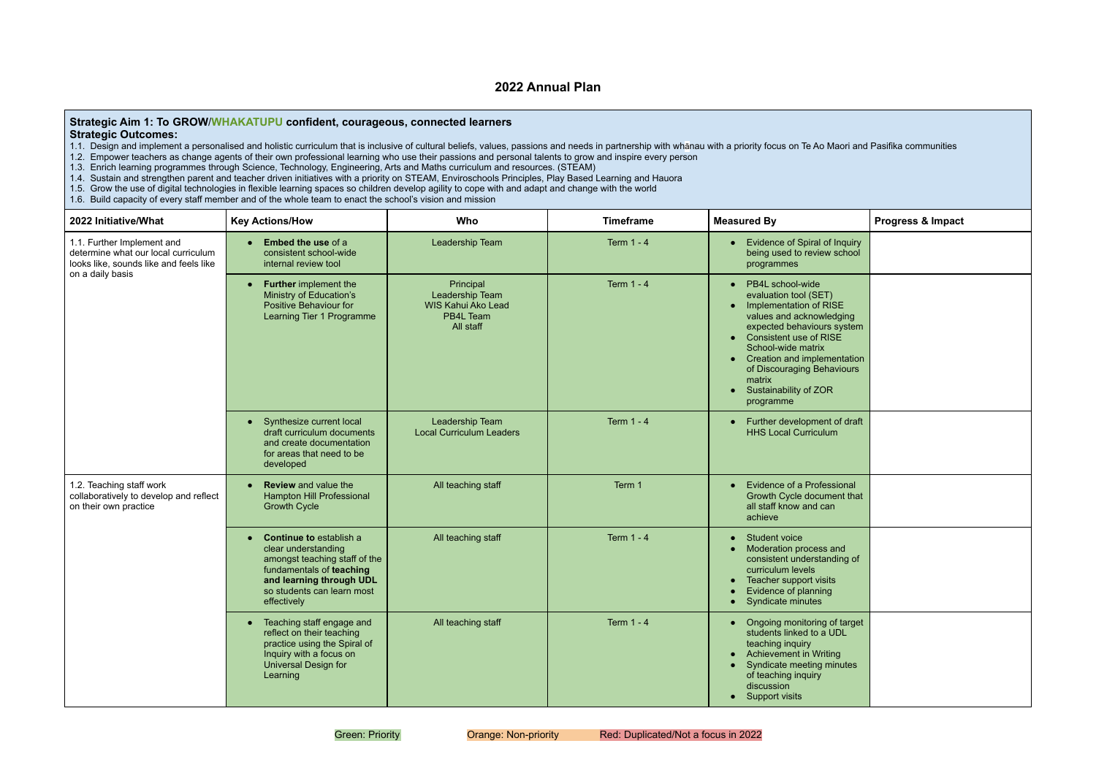# **2022 Annual Plan**

### **Strategic Aim 1: To GROW**/**WHAKATUPU confident, courageous, connected learners Strategic Outcomes:**

- 1.1. Design and implement a personalised and holistic curriculum that is inclusive of cultural beliefs, values, passions and needs in partnership with whānau with a priority focus on Te Ao M
- 1.2. Empower teachers as change agents of their own professional learning who use their passions and personal talents to grow and inspire every person
- 1.3. Enrich learning programmes through Science, Technology, Engineering, Arts and Maths curriculum and resources. (STEAM)
- 1.4. Sustain and strengthen parent and teacher driven initiatives with a priority on STEAM, Enviroschools Principles, Play Based Learning and Hauora
- 1.5. Grow the use of digital technologies in flexible learning spaces so children develop agility to cope with and adapt and change with the world
- 1.6. Build capacity of every staff member and of the whole team to enact the school's vision and mission

| 2022 Initiative/What                                                                                        | <b>Key Actions/How</b>                                                                                                                                                                      | Who                                                                                 | <b>Timeframe</b>  | <b>Measured By</b>                                                                                                                                                                                                                                                                                                                                    | <b>Progress &amp; Impact</b> |
|-------------------------------------------------------------------------------------------------------------|---------------------------------------------------------------------------------------------------------------------------------------------------------------------------------------------|-------------------------------------------------------------------------------------|-------------------|-------------------------------------------------------------------------------------------------------------------------------------------------------------------------------------------------------------------------------------------------------------------------------------------------------------------------------------------------------|------------------------------|
| 1.1. Further Implement and<br>determine what our local curriculum<br>looks like, sounds like and feels like | <b>Embed the use of a</b><br>$\bullet$<br>consistent school-wide<br>internal review tool                                                                                                    | Leadership Team                                                                     | <b>Term 1 - 4</b> | Evidence of Spiral of Inquiry<br>being used to review school<br>programmes                                                                                                                                                                                                                                                                            |                              |
| on a daily basis                                                                                            | <b>Further</b> implement the<br>$\bullet$<br>Ministry of Education's<br>Positive Behaviour for<br>Learning Tier 1 Programme                                                                 | Principal<br>Leadership Team<br><b>WIS Kahui Ako Lead</b><br>PB4L Team<br>All staff | <b>Term 1 - 4</b> | PB4L school-wide<br>evaluation tool (SET)<br>Implementation of RISE<br>$\bullet$<br>values and acknowledging<br>expected behaviours system<br><b>Consistent use of RISE</b><br>$\bullet$<br>School-wide matrix<br>Creation and implementation<br>$\bullet$<br>of Discouraging Behaviours<br>matrix<br>Sustainability of ZOR<br>$\bullet$<br>programme |                              |
|                                                                                                             | Synthesize current local<br>$\bullet$<br>draft curriculum documents<br>and create documentation<br>for areas that need to be<br>developed                                                   | Leadership Team<br><b>Local Curriculum Leaders</b>                                  | <b>Term 1 - 4</b> | Further development of draft<br><b>HHS Local Curriculum</b>                                                                                                                                                                                                                                                                                           |                              |
| 1.2. Teaching staff work<br>collaboratively to develop and reflect<br>on their own practice                 | <b>Review</b> and value the<br><b>Hampton Hill Professional</b><br><b>Growth Cycle</b>                                                                                                      | All teaching staff                                                                  | Term 1            | <b>Evidence of a Professional</b><br>$\bullet$<br>Growth Cycle document that<br>all staff know and can<br>achieve                                                                                                                                                                                                                                     |                              |
|                                                                                                             | <b>Continue to establish a</b><br>clear understanding<br>amongst teaching staff of the<br>fundamentals of teaching<br>and learning through UDL<br>so students can learn most<br>effectively | All teaching staff                                                                  | <b>Term 1 - 4</b> | <b>Student voice</b><br>$\bullet$<br>Moderation process and<br>consistent understanding of<br>curriculum levels<br>Teacher support visits<br>$\bullet$<br>Evidence of planning<br>Syndicate minutes                                                                                                                                                   |                              |
|                                                                                                             | Teaching staff engage and<br>$\bullet$<br>reflect on their teaching<br>practice using the Spiral of<br>Inquiry with a focus on<br>Universal Design for<br>Learning                          | All teaching staff                                                                  | Term 1 - 4        | Ongoing monitoring of target<br>$\bullet$<br>students linked to a UDL<br>teaching inquiry<br><b>Achievement in Writing</b><br>$\bullet$<br>Syndicate meeting minutes<br>of teaching inquiry<br>discussion<br><b>Support visits</b><br>$\bullet$                                                                                                       |                              |

|                                                                                         | Maori and Pasifika communities |
|-----------------------------------------------------------------------------------------|--------------------------------|
|                                                                                         | Progress & Impact              |
| f Inquiry<br>school                                                                     |                                |
| $\lambda$<br><b>İSE</b><br>edging<br>s system<br><b>SE</b><br>nentation<br>aviours<br>२ |                                |
| t of draft<br>m                                                                         |                                |
| ssional<br>ent that<br>In                                                               |                                |
| and<br>nding of<br>ts<br>J                                                              |                                |
| of target<br><b>UDL</b><br>ing<br>ninutes                                               |                                |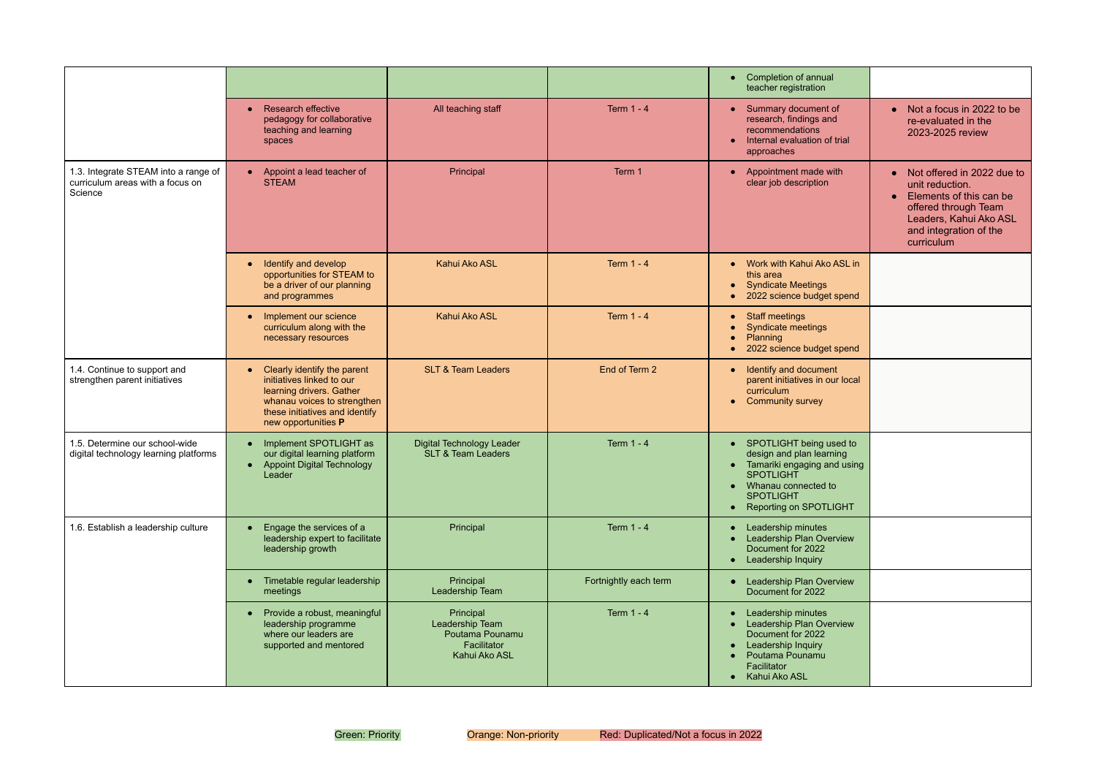|                                                                                     |                                                                                                                                                                                           |                                                                                 |                       | Completion of annual<br>teacher registration                                                                                                                                  |                                                                                                                                                                                   |
|-------------------------------------------------------------------------------------|-------------------------------------------------------------------------------------------------------------------------------------------------------------------------------------------|---------------------------------------------------------------------------------|-----------------------|-------------------------------------------------------------------------------------------------------------------------------------------------------------------------------|-----------------------------------------------------------------------------------------------------------------------------------------------------------------------------------|
|                                                                                     | <b>Research effective</b><br>$\bullet$<br>pedagogy for collaborative<br>teaching and learning<br>spaces                                                                                   | All teaching staff                                                              | <b>Term 1 - 4</b>     | • Summary document of<br>research, findings and<br>recommendations<br>Internal evaluation of trial<br>approaches                                                              | • Not a focus in 2022 to be<br>re-evaluated in the<br>2023-2025 review                                                                                                            |
| 1.3. Integrate STEAM into a range of<br>curriculum areas with a focus on<br>Science | • Appoint a lead teacher of<br><b>STEAM</b>                                                                                                                                               | Principal                                                                       | Term 1                | Appointment made with<br>clear job description                                                                                                                                | • Not offered in 2022 due to<br>unit reduction.<br>Elements of this can be<br>$\bullet$<br>offered through Team<br>Leaders, Kahui Ako ASL<br>and integration of the<br>curriculum |
|                                                                                     | Identify and develop<br>$\bullet$<br>opportunities for STEAM to<br>be a driver of our planning<br>and programmes                                                                          | Kahui Ako ASL                                                                   | <b>Term 1 - 4</b>     | Work with Kahui Ako ASL in<br>this area<br><b>Syndicate Meetings</b><br>2022 science budget spend                                                                             |                                                                                                                                                                                   |
|                                                                                     | Implement our science<br>$\bullet$<br>curriculum along with the<br>necessary resources                                                                                                    | Kahui Ako ASL                                                                   | <b>Term 1 - 4</b>     | <b>Staff meetings</b><br>Syndicate meetings<br>Planning<br>2022 science budget spend                                                                                          |                                                                                                                                                                                   |
| 1.4. Continue to support and<br>strengthen parent initiatives                       | Clearly identify the parent<br>$\bullet$<br>initiatives linked to our<br>learning drivers. Gather<br>whanau voices to strengthen<br>these initiatives and identify<br>new opportunities P | <b>SLT &amp; Team Leaders</b>                                                   | End of Term 2         | • Identify and document<br>parent initiatives in our local<br>curriculum<br>• Community survey                                                                                |                                                                                                                                                                                   |
| 1.5. Determine our school-wide<br>digital technology learning platforms             | Implement SPOTLIGHT as<br>our digital learning platform<br>• Appoint Digital Technology<br>Leader                                                                                         | <b>Digital Technology Leader</b><br><b>SLT &amp; Team Leaders</b>               | <b>Term 1 - 4</b>     | SPOTLIGHT being used to<br>design and plan learning<br>Tamariki engaging and using<br><b>SPOTLIGHT</b><br>• Whanau connected to<br><b>SPOTLIGHT</b><br>Reporting on SPOTLIGHT |                                                                                                                                                                                   |
| 1.6. Establish a leadership culture                                                 | Engage the services of a<br>leadership expert to facilitate<br>leadership growth                                                                                                          | Principal                                                                       | Term 1 - 4            | Leadership minutes<br>Leadership Plan Overview<br>Document for 2022<br>Leadership Inquiry                                                                                     |                                                                                                                                                                                   |
|                                                                                     | Timetable regular leadership<br>meetings                                                                                                                                                  | Principal<br>Leadership Team                                                    | Fortnightly each term | • Leadership Plan Overview<br>Document for 2022                                                                                                                               |                                                                                                                                                                                   |
|                                                                                     | • Provide a robust, meaningful<br>leadership programme<br>where our leaders are<br>supported and mentored                                                                                 | Principal<br>Leadership Team<br>Poutama Pounamu<br>Facilitator<br>Kahui Ako ASL | Term 1 - 4            | Leadership minutes<br>Leadership Plan Overview<br>Document for 2022<br>Leadership Inquiry<br>Poutama Pounamu<br>Facilitator<br>Kahui Ako ASL                                  |                                                                                                                                                                                   |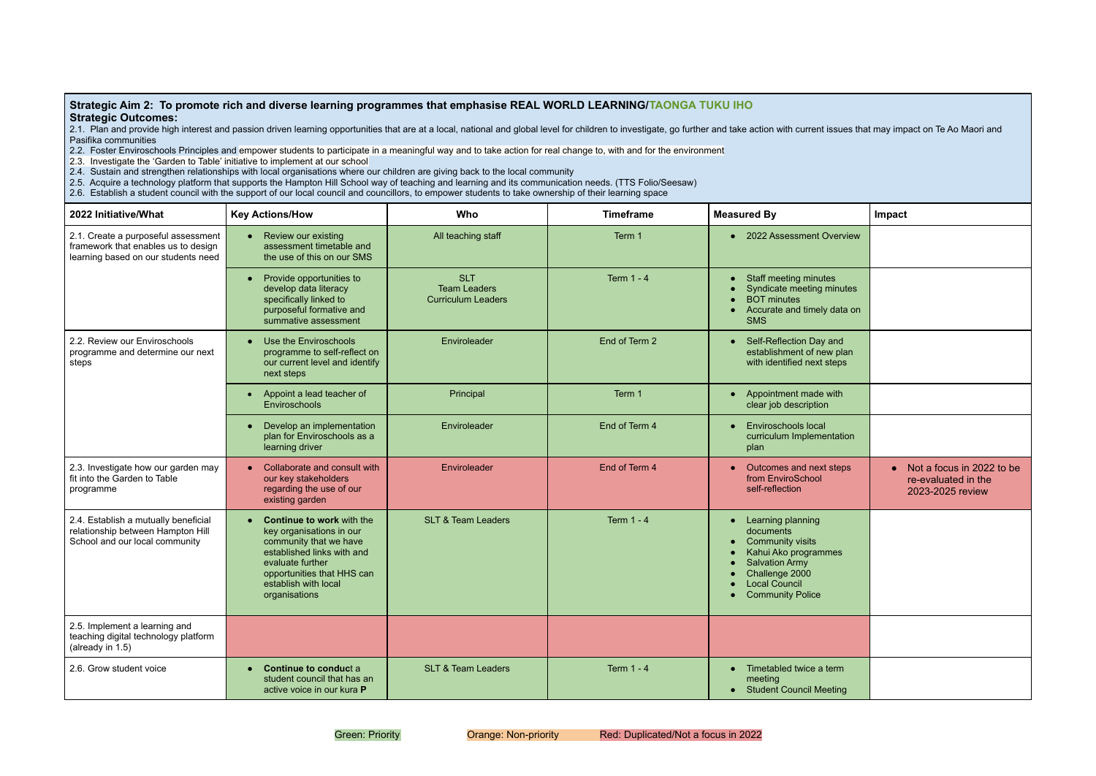#### **Strategic Aim 2: To promote rich and diverse learning programmes that emphasise REAL WORLD LEARNING/TAONGA TUKU IHO Strategic Outcomes:**

2.1. Plan and provide high interest and passion driven learning opportunities that are at a local, national and global level for children to investigate, go further and take action with current Pasifika communities

2.2. Foster Enviroschools Principles and empower students to participate in a meaningful way and to take action for real change to, with and for the environment

2.3. Investigate the 'Garden to Table' initiative to implement at our school

2.4. Sustain and strengthen relationships with local organisations where our children are giving back to the local community

2.5. Acquire a technology platform that supports the Hampton Hill School way of teaching and learning and its communication needs. (TTS Folio/Seesaw)

2.6. Establish a student council with the support of our local council and councillors, to empower students to take ownership of their learning space

|                          | issues that may impact on Te Ao Maori and                                         |
|--------------------------|-----------------------------------------------------------------------------------|
|                          | Impact                                                                            |
| verview                  |                                                                                   |
| эs<br>ninutes<br>data on |                                                                                   |
| and<br>w plan<br>steps   |                                                                                   |
| with                     |                                                                                   |
| ntation                  |                                                                                   |
| steps                    | Not a focus in 2022 to be<br>$\bullet$<br>re-evaluated in the<br>2023-2025 review |
| nes                      |                                                                                   |
|                          |                                                                                   |
| erm<br>eting             |                                                                                   |

| 2022 Initiative/What                                                                                              | <b>Key Actions/How</b>                                                                                                                                                                                                       | Who                                                            | <b>Timeframe</b>  | <b>Measured By</b>                                                                                                                                                                           | <b>Impact</b> |
|-------------------------------------------------------------------------------------------------------------------|------------------------------------------------------------------------------------------------------------------------------------------------------------------------------------------------------------------------------|----------------------------------------------------------------|-------------------|----------------------------------------------------------------------------------------------------------------------------------------------------------------------------------------------|---------------|
| 2.1. Create a purposeful assessment<br>framework that enables us to design<br>learning based on our students need | Review our existing<br>$\bullet$<br>assessment timetable and<br>the use of this on our SMS                                                                                                                                   | All teaching staff                                             | Term 1            | • 2022 Assessment Overview                                                                                                                                                                   |               |
|                                                                                                                   | Provide opportunities to<br>$\bullet$<br>develop data literacy<br>specifically linked to<br>purposeful formative and<br>summative assessment                                                                                 | <b>SLT</b><br><b>Team Leaders</b><br><b>Curriculum Leaders</b> | <b>Term 1 - 4</b> | Staff meeting minutes<br>$\bullet$<br>Syndicate meeting minutes<br><b>BOT</b> minutes<br>Accurate and timely data on<br><b>SMS</b>                                                           |               |
| 2.2. Review our Enviroschools<br>programme and determine our next<br>steps                                        | Use the Enviroschools<br>$\bullet$<br>programme to self-reflect on<br>our current level and identify<br>next steps                                                                                                           | Enviroleader                                                   | End of Term 2     | Self-Reflection Day and<br>$\bullet$<br>establishment of new plan<br>with identified next steps                                                                                              |               |
|                                                                                                                   | Appoint a lead teacher of<br>$\bullet$<br>Enviroschools                                                                                                                                                                      | Principal                                                      | Term 1            | Appointment made with<br>$\bullet$<br>clear job description                                                                                                                                  |               |
|                                                                                                                   | Develop an implementation<br>$\bullet$<br>plan for Enviroschools as a<br>learning driver                                                                                                                                     | Enviroleader                                                   | End of Term 4     | <b>Enviroschools local</b><br>curriculum Implementation<br>plan                                                                                                                              |               |
| 2.3. Investigate how our garden may<br>fit into the Garden to Table<br>programme                                  | Collaborate and consult with<br>$\bullet$<br>our key stakeholders<br>regarding the use of our<br>existing garden                                                                                                             | Enviroleader                                                   | End of Term 4     | Outcomes and next steps<br>$\bullet$<br>from EnviroSchool<br>self-reflection                                                                                                                 | $\bullet$     |
| 2.4. Establish a mutually beneficial<br>relationship between Hampton Hill<br>School and our local community       | <b>Continue to work with the</b><br>$\bullet$<br>key organisations in our<br>community that we have<br>established links with and<br>evaluate further<br>opportunities that HHS can<br>establish with local<br>organisations | <b>SLT &amp; Team Leaders</b>                                  | <b>Term 1 - 4</b> | Learning planning<br>$\bullet$<br>documents<br><b>Community visits</b><br>Kahui Ako programmes<br><b>Salvation Army</b><br>Challenge 2000<br><b>Local Council</b><br><b>Community Police</b> |               |
| 2.5. Implement a learning and<br>teaching digital technology platform<br>(already in 1.5)                         |                                                                                                                                                                                                                              |                                                                |                   |                                                                                                                                                                                              |               |
| 2.6. Grow student voice                                                                                           | Continue to conduct a<br>$\bullet$<br>student council that has an<br>active voice in our kura P                                                                                                                              | <b>SLT &amp; Team Leaders</b>                                  | <b>Term 1 - 4</b> | Timetabled twice a term<br>$\bullet$<br>meeting<br><b>Student Council Meeting</b>                                                                                                            |               |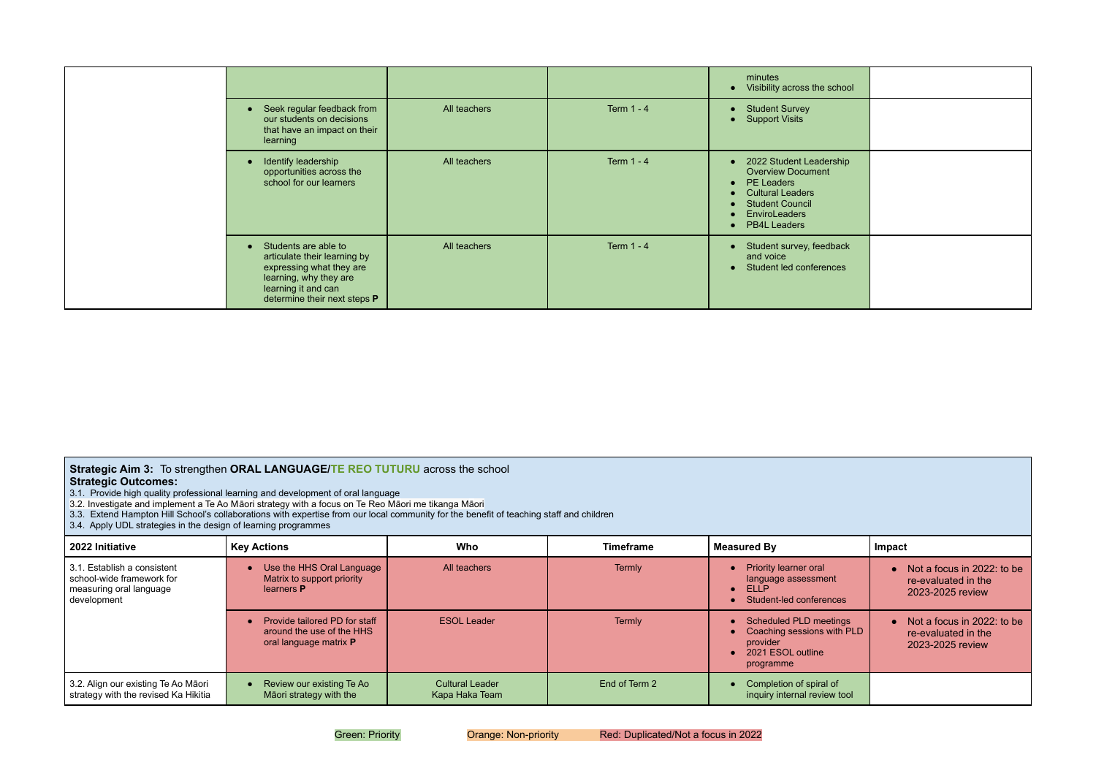|                                                                                                                                                                                |              |                   | minutes<br>Visibility across the school                                                                                                                                                                |
|--------------------------------------------------------------------------------------------------------------------------------------------------------------------------------|--------------|-------------------|--------------------------------------------------------------------------------------------------------------------------------------------------------------------------------------------------------|
| Seek regular feedback from<br>$\bullet$<br>our students on decisions<br>that have an impact on their<br>learning                                                               | All teachers | <b>Term 1 - 4</b> | <b>Student Survey</b><br><b>Support Visits</b>                                                                                                                                                         |
| Identify leadership<br>$\bullet$<br>opportunities across the<br>school for our learners                                                                                        | All teachers | Term $1 - 4$      | 2022 Student Leadership<br><b>Overview Document</b><br><b>PE Leaders</b><br>$\bullet$<br><b>Cultural Leaders</b><br>$\bullet$<br><b>Student Council</b><br><b>EnviroLeaders</b><br><b>PB4L Leaders</b> |
| Students are able to<br>$\bullet$<br>articulate their learning by<br>expressing what they are<br>learning, why they are<br>learning it and can<br>determine their next steps P | All teachers | <b>Term 1 - 4</b> | Student survey, feedback<br>and voice<br>Student led conferences                                                                                                                                       |

# **Strategic Aim 3:** To strengthen **ORAL LANGUAGE/TE REO TUTURU** across the school

| <b>Strategic Allii 3.</b> TO Strengthen <b>ORAL LANGOAGE/TE REO TOTORO</b> dClOSS the SCHOOL<br><b>Strategic Outcomes:</b><br>3.1. Provide high quality professional learning and development of oral language<br>3.2. Investigate and implement a Te Ao Māori strategy with a focus on Te Reo Māori me tikanga Māori<br>3.3. Extend Hampton Hill School's collaborations with expertise from our local community for the benefit of teaching staff and children<br>3.4. Apply UDL strategies in the design of learning programmes |                                                                                             |                                          |                  |                                                                                                    |                                                                         |  |  |
|------------------------------------------------------------------------------------------------------------------------------------------------------------------------------------------------------------------------------------------------------------------------------------------------------------------------------------------------------------------------------------------------------------------------------------------------------------------------------------------------------------------------------------|---------------------------------------------------------------------------------------------|------------------------------------------|------------------|----------------------------------------------------------------------------------------------------|-------------------------------------------------------------------------|--|--|
| 2022 Initiative                                                                                                                                                                                                                                                                                                                                                                                                                                                                                                                    | <b>Key Actions</b>                                                                          | Who                                      | <b>Timeframe</b> | <b>Measured By</b>                                                                                 | Impact                                                                  |  |  |
| 3.1. Establish a consistent<br>school-wide framework for<br>measuring oral language<br>development                                                                                                                                                                                                                                                                                                                                                                                                                                 | Use the HHS Oral Language<br>Matrix to support priority<br>learners <b>P</b>                | All teachers                             | <b>Termly</b>    | <b>Priority learner oral</b><br>language assessment<br>ELLP<br>Student-led conferences             | • Not a focus in 2022: to be<br>re-evaluated in the<br>2023-2025 review |  |  |
|                                                                                                                                                                                                                                                                                                                                                                                                                                                                                                                                    | Provide tailored PD for staff<br>around the use of the HHS<br>oral language matrix <b>P</b> | <b>ESOL Leader</b>                       | <b>Termly</b>    | Scheduled PLD meetings<br>Coaching sessions with PLD<br>provider<br>2021 ESOL outline<br>programme | • Not a focus in 2022: to be<br>re-evaluated in the<br>2023-2025 review |  |  |
| 3.2. Align our existing Te Ao Māori<br>strategy with the revised Ka Hikitia                                                                                                                                                                                                                                                                                                                                                                                                                                                        | Review our existing Te Ao<br>Māori strategy with the                                        | <b>Cultural Leader</b><br>Kapa Haka Team | End of Term 2    | Completion of spiral of<br>inquiry internal review tool                                            |                                                                         |  |  |

| school               |  |
|----------------------|--|
|                      |  |
| rship                |  |
| <b>Iback</b><br>ices |  |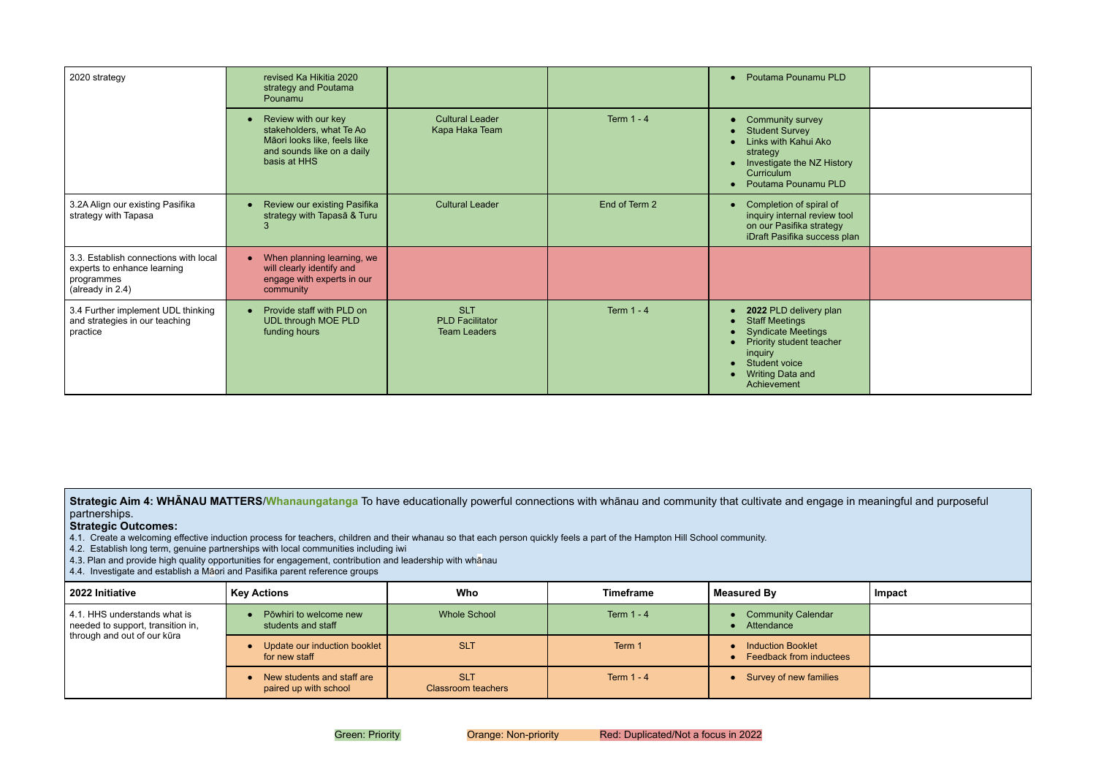| 2020 strategy                                                                                          | revised Ka Hikitia 2020<br>strategy and Poutama<br>Pounamu                                                                                 |                                                             |                   | • Poutama Pounamu PLD                                                                                                                                                          |
|--------------------------------------------------------------------------------------------------------|--------------------------------------------------------------------------------------------------------------------------------------------|-------------------------------------------------------------|-------------------|--------------------------------------------------------------------------------------------------------------------------------------------------------------------------------|
|                                                                                                        | Review with our key<br>$\bullet$<br>stakeholders, what Te Ao<br>Māori looks like, feels like<br>and sounds like on a daily<br>basis at HHS | <b>Cultural Leader</b><br>Kapa Haka Team                    | <b>Term 1 - 4</b> | Community survey<br><b>Student Survey</b><br>Links with Kahui Ako<br>strategy<br>Investigate the NZ History<br>Curriculum<br>Poutama Pounamu PLD                               |
| 3.2A Align our existing Pasifika<br>strategy with Tapasa                                               | Review our existing Pasifika<br>$\bullet$<br>strategy with Tapasa & Turu                                                                   | <b>Cultural Leader</b>                                      | End of Term 2     | Completion of spiral of<br>inquiry internal review tool<br>on our Pasifika strategy<br>iDraft Pasifika success plan                                                            |
| 3.3. Establish connections with local<br>experts to enhance learning<br>programmes<br>(already in 2.4) | When planning learning, we<br>$\bullet$<br>will clearly identify and<br>engage with experts in our<br>community                            |                                                             |                   |                                                                                                                                                                                |
| 3.4 Further implement UDL thinking<br>and strategies in our teaching<br>practice                       | Provide staff with PLD on<br>$\bullet$<br><b>UDL through MOE PLD</b><br>funding hours                                                      | <b>SLT</b><br><b>PLD Facilitator</b><br><b>Team Leaders</b> | <b>Term 1 - 4</b> | 2022 PLD delivery plan<br><b>Staff Meetings</b><br><b>Syndicate Meetings</b><br>Priority student teacher<br>inquiry<br>Student voice<br><b>Writing Data and</b><br>Achievement |

Strategic Aim 4: WHANAU MATTERS/Whanaungatanga To have educationally powerful connections with whānau and community that cultivate and engagently partnerships.

## **Strategic Outcomes:**

4.1. Create a welcoming effective induction process for teachers, children and their whanau so that each person quickly feels a part of the Hampton Hill School community.

4.2. Establish long term, genuine partnerships with local communities including iwi

- 4.3. Plan and provide high quality opportunities for engagement, contribution and leadership with whānau
- 4.4. Investigate and establish a Māori and Pasifika parent reference groups

| 2022 Initiative                                                                                  | <b>Key Actions</b>                                  | <b>Who</b>                       | <b>Timeframe</b> | <b>Measured By</b>                                         | Impact |
|--------------------------------------------------------------------------------------------------|-----------------------------------------------------|----------------------------------|------------------|------------------------------------------------------------|--------|
| 4.1. HHS understands what is<br>needed to support, transition in,<br>through and out of our kūra | Pōwhiri to welcome new<br>students and staff        | <b>Whole School</b>              | Term $1 - 4$     | <b>Community Calendar</b><br>Attendance                    |        |
|                                                                                                  | Update our induction booklet<br>for new staff       | <b>SLT</b>                       | Term 1           | <b>Induction Booklet</b><br><b>Feedback from inductees</b> |        |
|                                                                                                  | New students and staff are<br>paired up with school | <b>SLT</b><br>Classroom teachers | Term $1 - 4$     | Survey of new families                                     |        |

| PLD                                   |  |
|---------------------------------------|--|
| $\mathbf{c}$<br>listory<br>PLD        |  |
| $\circ$ f<br>w tool<br>egy<br>ss plan |  |
|                                       |  |
| $\mathsf{lan}$<br>her                 |  |

| ge in meaningful and purposeful |        |  |  |
|---------------------------------|--------|--|--|
|                                 | Impact |  |  |
| r                               |        |  |  |
| ctees                           |        |  |  |
| es                              |        |  |  |